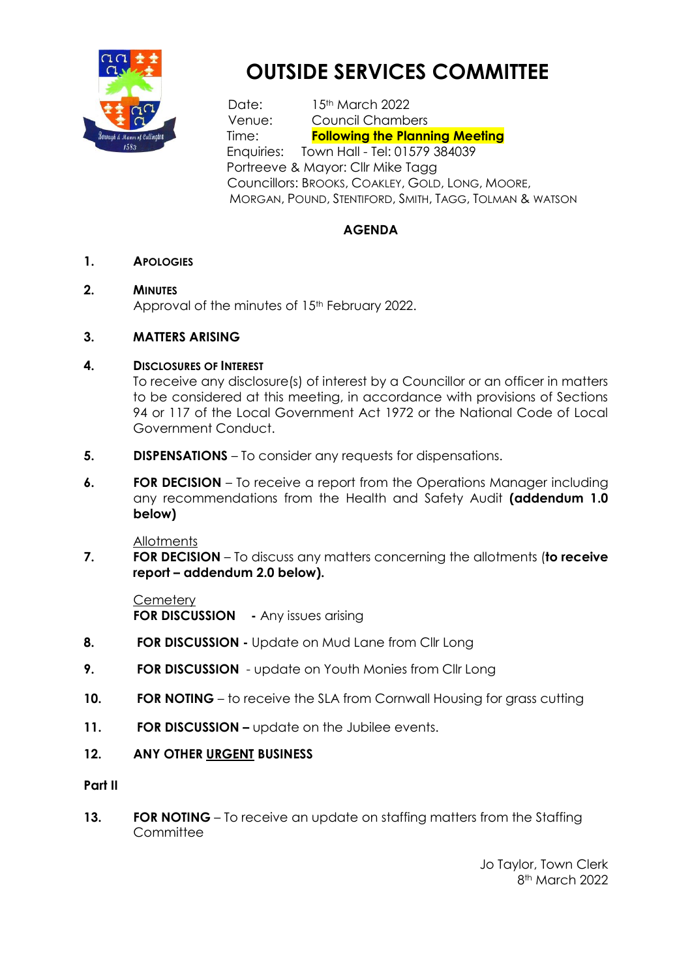

# **OUTSIDE SERVICES COMMITTEE**

Date: 15<sup>th</sup> March 2022 Venue: Council Chambers Time: **Following the Planning Meeting** Enquiries: Town Hall - Tel: 01579 384039 Portreeve & Mayor: Cllr Mike Tagg Councillors: BROOKS, COAKLEY, GOLD, LONG, MOORE, MORGAN, POUND, STENTIFORD, SMITH, TAGG, TOLMAN & WATSON

### **AGENDA**

**1. APOLOGIES** 

### **2. MINUTES**

Approval of the minutes of 15<sup>th</sup> February 2022.

### **3. MATTERS ARISING**

### **4. DISCLOSURES OF INTEREST**

To receive any disclosure(s) of interest by a Councillor or an officer in matters to be considered at this meeting, in accordance with provisions of Sections 94 or 117 of the Local Government Act 1972 or the National Code of Local Government Conduct.

- **5. DISPENSATIONS**  To consider any requests for dispensations.
- **6. FOR DECISION** To receive a report from the Operations Manager including any recommendations from the Health and Safety Audit **(addendum 1.0 below)**

**Allotments** 

**7. FOR DECISION** – To discuss any matters concerning the allotments (**to receive report – addendum 2.0 below).**

**Cemetery FOR DISCUSSION** - Any issues arising

- **8. FOR DISCUSSION -** Update on Mud Lane from Cllr Long
- **9. FOR DISCUSSION** update on Youth Monies from Cllr Long
- **10. FOR NOTING** to receive the SLA from Cornwall Housing for grass cutting
- **11. FOR DISCUSSION –** update on the Jubilee events.

### **12. ANY OTHER URGENT BUSINESS**

### **Part II**

**13. FOR NOTING** – To receive an update on staffing matters from the Staffing **Committee** 

> Jo Taylor, Town Clerk 8th March 2022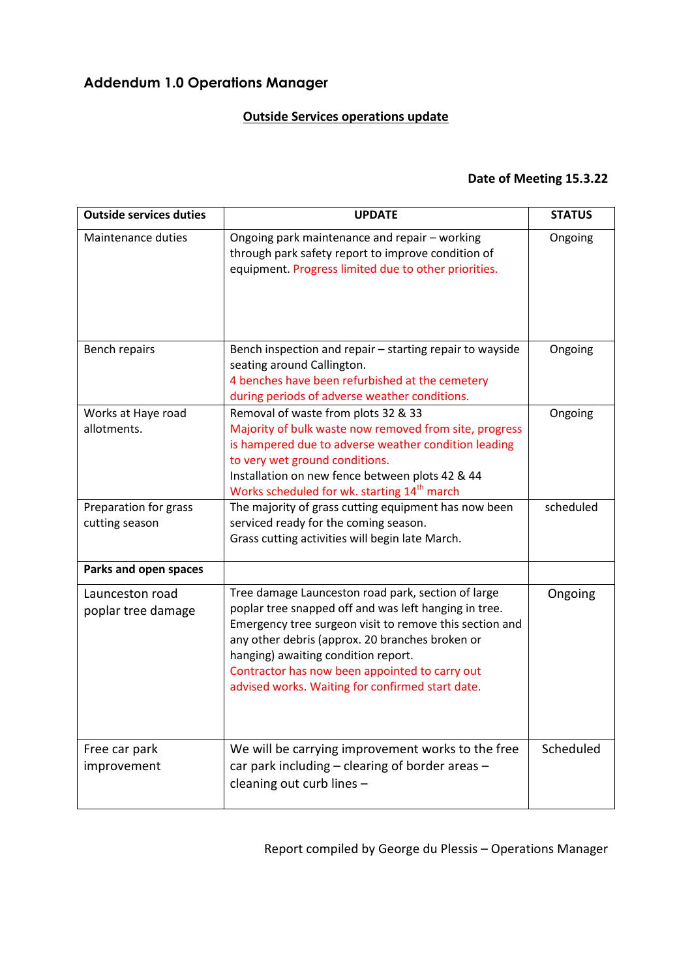# **Addendum 1.0 Operations Manager**

# **Outside Services operations update**

## **Date of Meeting 15.3.22**

| <b>Outside services duties</b>          | <b>UPDATE</b>                                                                                                                                                                                                                                                                                                                                                          | <b>STATUS</b> |
|-----------------------------------------|------------------------------------------------------------------------------------------------------------------------------------------------------------------------------------------------------------------------------------------------------------------------------------------------------------------------------------------------------------------------|---------------|
| Maintenance duties                      | Ongoing park maintenance and repair - working<br>through park safety report to improve condition of<br>equipment. Progress limited due to other priorities.                                                                                                                                                                                                            | Ongoing       |
| Bench repairs                           | Bench inspection and repair - starting repair to wayside<br>seating around Callington.<br>4 benches have been refurbished at the cemetery<br>during periods of adverse weather conditions.                                                                                                                                                                             | Ongoing       |
| Works at Haye road<br>allotments.       | Removal of waste from plots 32 & 33<br>Majority of bulk waste now removed from site, progress<br>is hampered due to adverse weather condition leading<br>to very wet ground conditions.<br>Installation on new fence between plots 42 & 44<br>Works scheduled for wk. starting 14 <sup>th</sup> march                                                                  | Ongoing       |
| Preparation for grass<br>cutting season | The majority of grass cutting equipment has now been<br>serviced ready for the coming season.<br>Grass cutting activities will begin late March.                                                                                                                                                                                                                       | scheduled     |
| Parks and open spaces                   |                                                                                                                                                                                                                                                                                                                                                                        |               |
| Launceston road<br>poplar tree damage   | Tree damage Launceston road park, section of large<br>poplar tree snapped off and was left hanging in tree.<br>Emergency tree surgeon visit to remove this section and<br>any other debris (approx. 20 branches broken or<br>hanging) awaiting condition report.<br>Contractor has now been appointed to carry out<br>advised works. Waiting for confirmed start date. | Ongoing       |
| Free car park<br>improvement            | We will be carrying improvement works to the free<br>car park including - clearing of border areas -<br>cleaning out curb lines -                                                                                                                                                                                                                                      | Scheduled     |

Report compiled by George du Plessis – Operations Manager